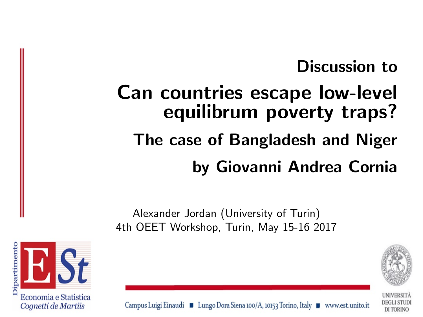## Discussion to

# Can countries escape low-level equilibrum poverty traps?

## The case of Bangladesh and Niger by Giovanni Andrea Cornia

Alexander Jordan (University of Turin) 4th OEET Workshop, Turin, May 15-16 2017



DI TORINO



Campus Luigi Einaudi ■ Lungo Dora Siena 100/A, 10153 Torino, Italy ■ www.est.unito.it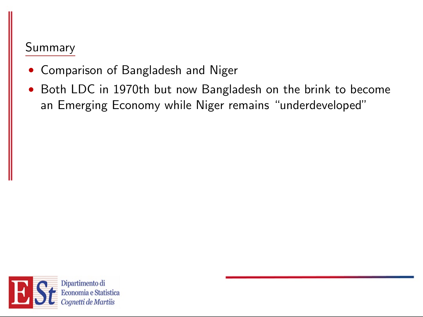#### Summary

- Comparison of Bangladesh and Niger
- Both LDC in 1970th but now Bangladesh on the brink to become an Emerging Economy while Niger remains "underdeveloped"

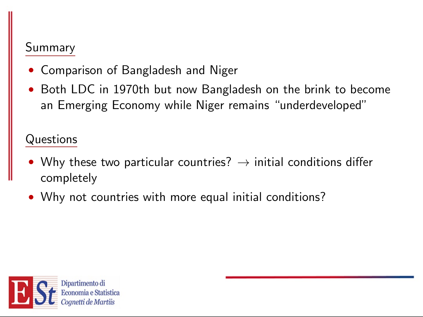#### Summary

- Comparison of Bangladesh and Niger
- Both LDC in 1970th but now Bangladesh on the brink to become an Emerging Economy while Niger remains "underdeveloped"

Questions

- Why these two particular countries?  $\rightarrow$  initial conditions differ completely
- Why not countries with more equal initial conditions?

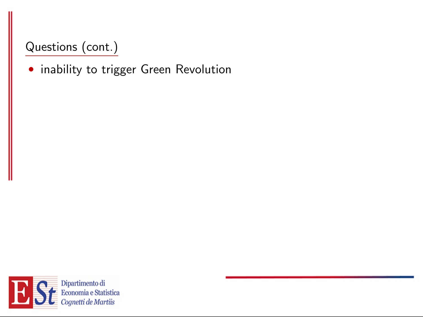• inability to trigger Green Revolution

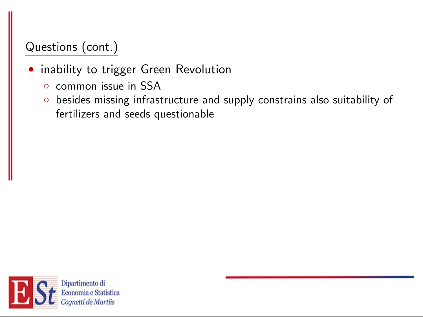- inability to trigger Green Revolution
	- common issue in SSA
	- besides missing infrastructure and supply constrains also suitability of fertilizers and seeds questionable

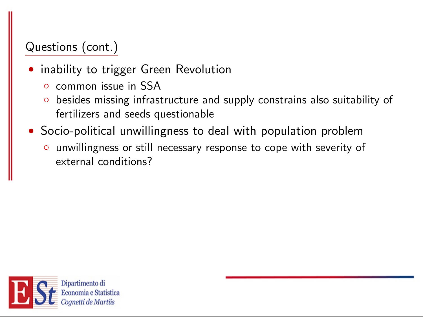- inability to trigger Green Revolution
	- common issue in SSA
	- besides missing infrastructure and supply constrains also suitability of fertilizers and seeds questionable
- Socio-political unwillingness to deal with population problem
	- unwillingness or still necessary response to cope with severity of external conditions?

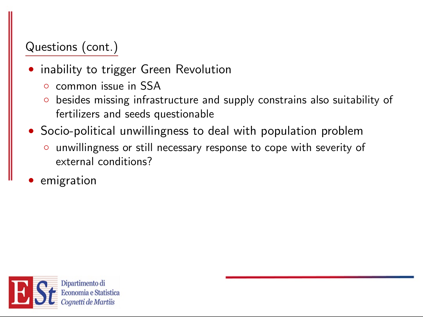- inability to trigger Green Revolution
	- common issue in SSA
	- besides missing infrastructure and supply constrains also suitability of fertilizers and seeds questionable
- Socio-political unwillingness to deal with population problem
	- unwillingness or still necessary response to cope with severity of external conditions?
- emigration

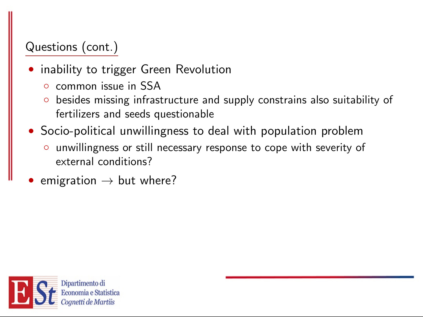- inability to trigger Green Revolution
	- common issue in SSA
	- besides missing infrastructure and supply constrains also suitability of fertilizers and seeds questionable
- Socio-political unwillingness to deal with population problem
	- unwillingness or still necessary response to cope with severity of external conditions?
- emigration  $\rightarrow$  but where?

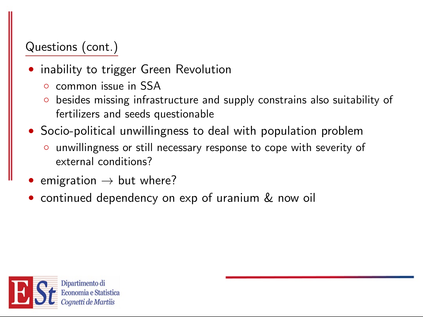- inability to trigger Green Revolution
	- common issue in SSA
	- besides missing infrastructure and supply constrains also suitability of fertilizers and seeds questionable
- Socio-political unwillingness to deal with population problem
	- unwillingness or still necessary response to cope with severity of external conditions?
- emigration  $\rightarrow$  but where?
- continued dependency on exp of uranium & now oil

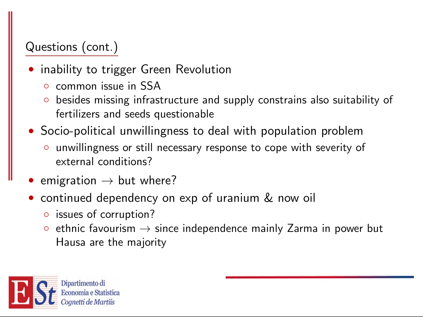- inability to trigger Green Revolution
	- common issue in SSA
	- besides missing infrastructure and supply constrains also suitability of fertilizers and seeds questionable
- Socio-political unwillingness to deal with population problem
	- unwillingness or still necessary response to cope with severity of external conditions?
- emigration  $\rightarrow$  but where?
- continued dependency on exp of uranium & now oil
	- issues of corruption?
	- $\circ$  ethnic favourism  $\to$  since independence mainly Zarma in power but Hausa are the majority

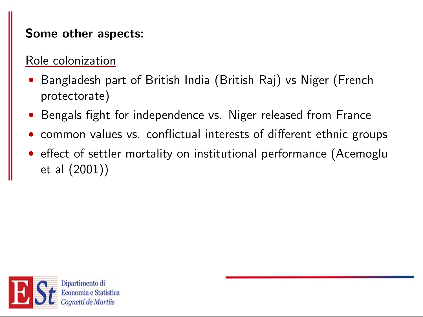#### Some other aspects:

#### Role colonization

- Bangladesh part of British India (British Raj) vs Niger (French protectorate)
- Bengals fight for independence vs. Niger released from France
- common values vs. conflictual interests of different ethnic groups
- effect of settler mortality on institutional performance (Acemoglu et al (2001))